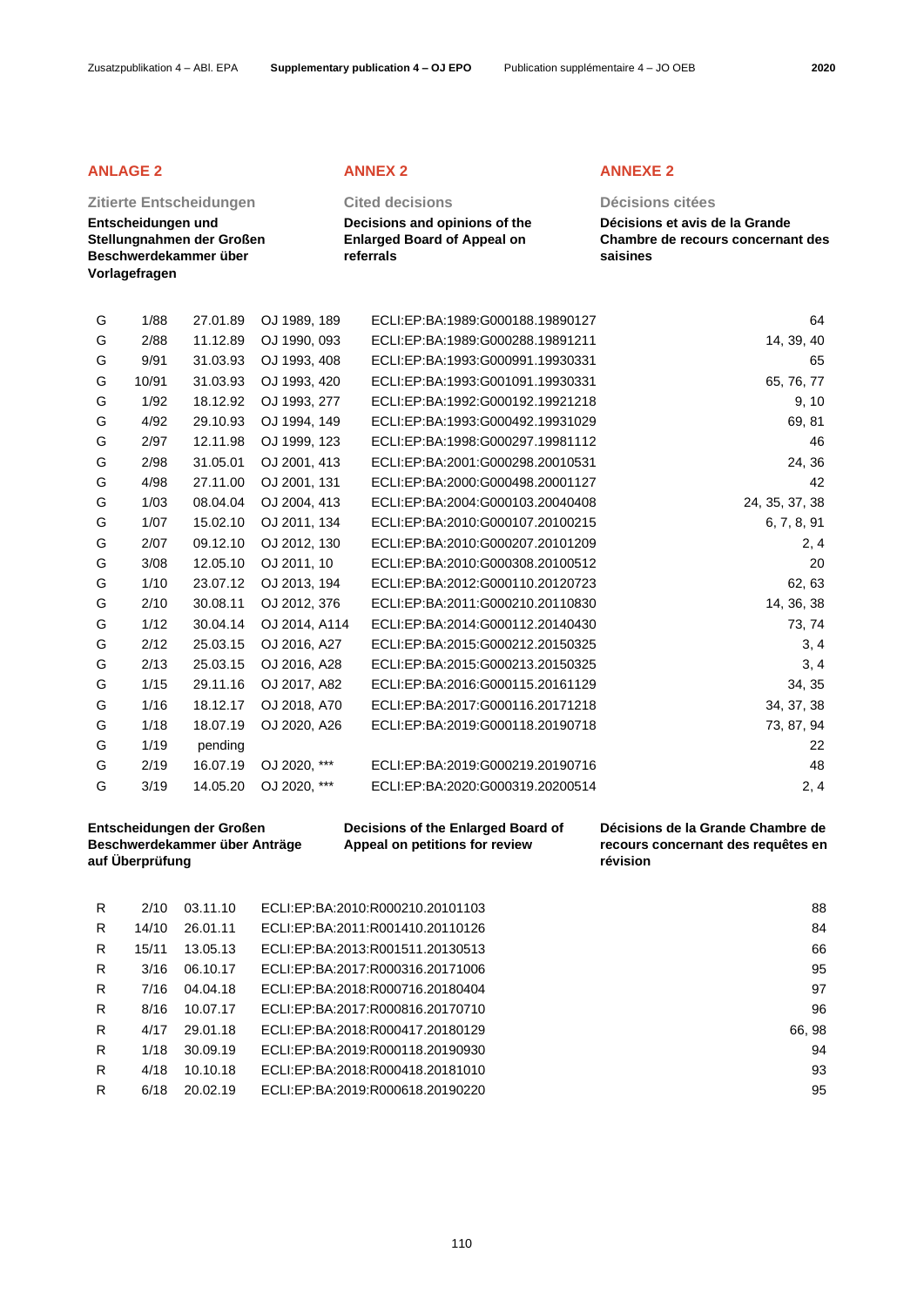## **Zitierte Entscheidungen Cited decisions Décisions citées**

**Entscheidungen und Stellungnahmen der Großen Beschwerdekammer über Vorlagefragen**

**Decisions and opinions of the Enlarged Board of Appeal on referrals**

## **ANLAGE 2 ANNEX 2 ANNEXE 2**

**Décisions et avis de la Grande Chambre de recours concernant des saisines**

|   |       | Entscheidungen der Großen |               | Decisions of the Enlarged Board of | Décisions de la Grande Chambre de |
|---|-------|---------------------------|---------------|------------------------------------|-----------------------------------|
| G | 3/19  | 14.05.20                  | OJ 2020, ***  | ECLI:EP:BA:2020:G000319.20200514   | 2, 4                              |
| G | 2/19  | 16.07.19                  | OJ 2020, ***  | ECLI:EP:BA:2019:G000219.20190716   | 48                                |
| G | 1/19  | pending                   |               |                                    | 22                                |
| G | 1/18  | 18.07.19                  | OJ 2020, A26  | ECLI:EP:BA:2019:G000118.20190718   | 73, 87, 94                        |
| G | 1/16  | 18.12.17                  | OJ 2018, A70  | ECLI:EP:BA:2017:G000116.20171218   | 34, 37, 38                        |
| G | 1/15  | 29.11.16                  | OJ 2017, A82  | ECLI:EP:BA:2016:G000115.20161129   | 34, 35                            |
| G | 2/13  | 25.03.15                  | OJ 2016, A28  | ECLI:EP:BA:2015:G000213.20150325   | 3, 4                              |
| G | 2/12  | 25.03.15                  | OJ 2016, A27  | ECLI:EP:BA:2015:G000212.20150325   | 3, 4                              |
| G | 1/12  | 30.04.14                  | OJ 2014, A114 | ECLI:EP:BA:2014:G000112.20140430   | 73, 74                            |
| G | 2/10  | 30.08.11                  | OJ 2012, 376  | ECLI:EP:BA:2011:G000210.20110830   | 14, 36, 38                        |
| G | 1/10  | 23.07.12                  | OJ 2013, 194  | ECLI:EP:BA:2012:G000110.20120723   | 62, 63                            |
| G | 3/08  | 12.05.10                  | OJ 2011, 10   | ECLI:EP:BA:2010:G000308.20100512   | 20                                |
| G | 2/07  | 09.12.10                  | OJ 2012, 130  | ECLI:EP:BA:2010:G000207.20101209   | 2, 4                              |
| G | 1/07  | 15.02.10                  | OJ 2011, 134  | ECLI:EP:BA:2010:G000107.20100215   | 6, 7, 8, 91                       |
| G | 1/03  | 08.04.04                  | OJ 2004, 413  | ECLI:EP:BA:2004:G000103.20040408   | 24, 35, 37, 38                    |
| G | 4/98  | 27.11.00                  | OJ 2001, 131  | ECLI:EP:BA:2000:G000498.20001127   | 42                                |
| G | 2/98  | 31.05.01                  | OJ 2001, 413  | ECLI:EP:BA:2001:G000298.20010531   | 24, 36                            |
| G | 2/97  | 12.11.98                  | OJ 1999, 123  | ECLI:EP:BA:1998:G000297.19981112   | 46                                |
| G | 4/92  | 29.10.93                  | OJ 1994, 149  | ECLI:EP:BA:1993:G000492.19931029   | 69, 81                            |
| G | 1/92  | 18.12.92                  | OJ 1993, 277  | ECLI:EP:BA:1992:G000192.19921218   | 9, 10                             |
| G | 10/91 | 31.03.93                  | OJ 1993, 420  | ECLI:EP:BA:1993:G001091.19930331   | 65, 76, 77                        |
| G | 9/91  | 31.03.93                  | OJ 1993, 408  | ECLI:EP:BA:1993:G000991.19930331   | 65                                |
| G | 2/88  | 11.12.89                  | OJ 1990, 093  | ECLI:EP:BA:1989:G000288.19891211   | 14, 39, 40                        |
| G | 1/88  | 27.01.89                  | OJ 1989, 189  | ECLI:EP:BA:1989:G000188.19890127   | 64                                |

**Beschwerdekammer über Anträge auf Überprüfung**

**Appeal on petitions for review**

**recours concernant des requêtes en révision**

| R | 2/10  | 03.11.10 | ECLI:EP:BA:2010:R000210.20101103 | 88     |
|---|-------|----------|----------------------------------|--------|
| R | 14/10 | 26.01.11 | ECLI:EP:BA:2011:R001410.20110126 | 84     |
| R | 15/11 | 13.05.13 | ECLI:EP:BA:2013:R001511.20130513 | 66     |
| R | 3/16  | 06.10.17 | ECLI:EP:BA:2017:R000316.20171006 | 95     |
| R | 7/16  | 04.04.18 | ECLI:EP:BA:2018:R000716.20180404 | 97     |
| R | 8/16  | 10.07.17 | ECLI:EP:BA:2017:R000816.20170710 | 96     |
| R | 4/17  | 29.01.18 | ECLI:EP:BA:2018:R000417.20180129 | 66, 98 |
| R | 1/18  | 30.09.19 | ECLI:EP:BA:2019:R000118.20190930 | 94     |
| R | 4/18  | 10.10.18 | ECLI:EP:BA:2018:R000418.20181010 | 93     |
| R | 6/18  | 20.02.19 | ECLI:EP:BA:2019:R000618.20190220 | 95     |
|   |       |          |                                  |        |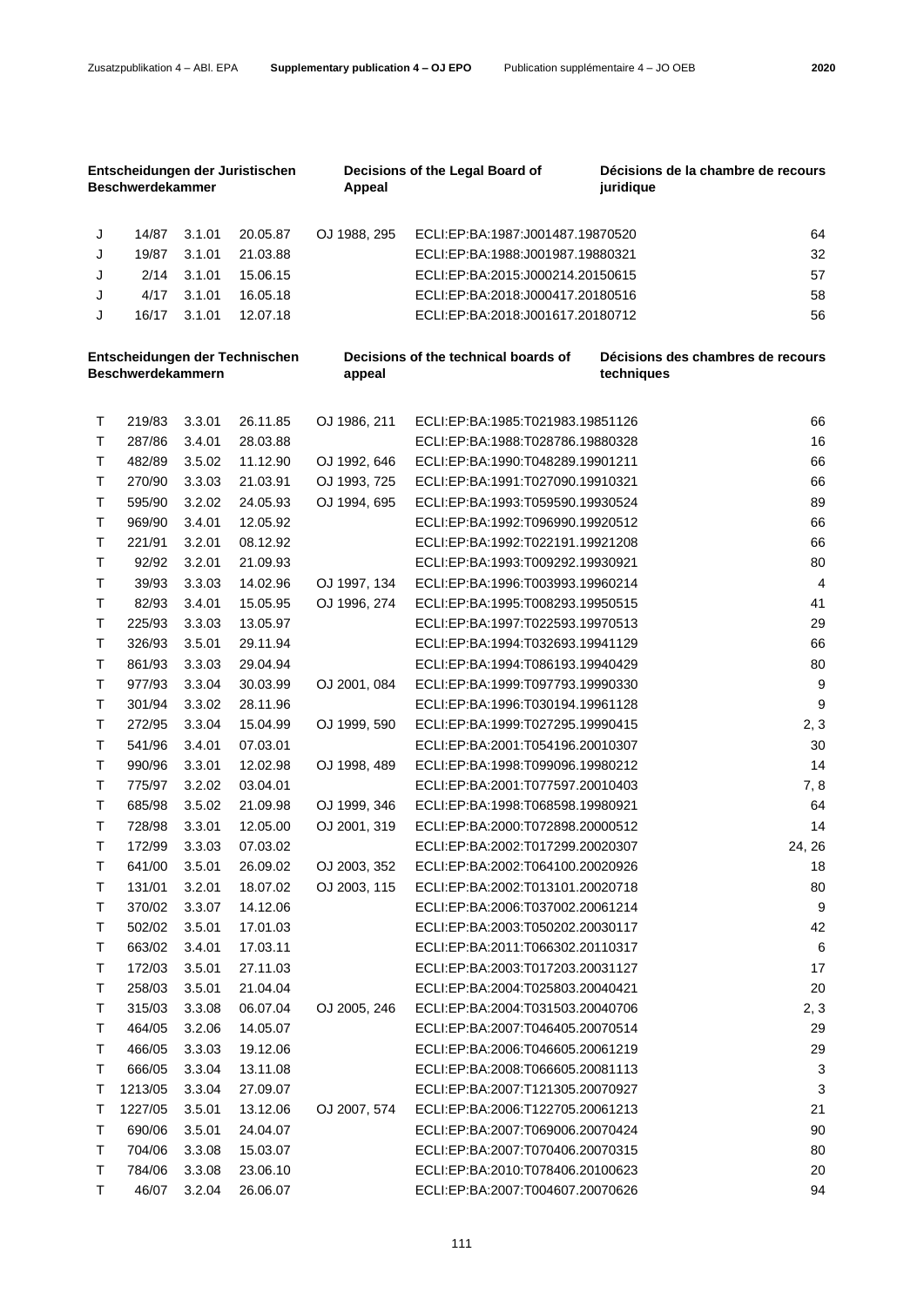| Entscheidungen der Juristischen<br><b>Beschwerdekammer</b> |         |        |          | Appeal       | Decisions of the Legal Board of      | Décisions de la chambre de recours<br>juridique |                         |
|------------------------------------------------------------|---------|--------|----------|--------------|--------------------------------------|-------------------------------------------------|-------------------------|
| J                                                          | 14/87   | 3.1.01 | 20.05.87 | OJ 1988, 295 | ECLI:EP:BA:1987:J001487.19870520     |                                                 | 64                      |
| J                                                          | 19/87   | 3.1.01 | 21.03.88 |              | ECLI:EP:BA:1988:J001987.19880321     |                                                 | 32                      |
| J                                                          | 2/14    | 3.1.01 | 15.06.15 |              | ECLI:EP:BA:2015:J000214.20150615     |                                                 | 57                      |
| J                                                          | 4/17    | 3.1.01 | 16.05.18 |              | ECLI:EP:BA:2018:J000417.20180516     |                                                 | 58                      |
| J                                                          | 16/17   | 3.1.01 | 12.07.18 |              | ECLI:EP:BA:2018:J001617.20180712     |                                                 | 56                      |
| Entscheidungen der Technischen<br><b>Beschwerdekammern</b> |         |        |          | appeal       | Decisions of the technical boards of | Décisions des chambres de recours<br>techniques |                         |
| т                                                          | 219/83  | 3.3.01 | 26.11.85 | OJ 1986, 211 | ECLI:EP:BA:1985:T021983.19851126     |                                                 | 66                      |
| т                                                          | 287/86  | 3.4.01 | 28.03.88 |              | ECLI:EP:BA:1988:T028786.19880328     |                                                 | 16                      |
| т                                                          | 482/89  | 3.5.02 | 11.12.90 | OJ 1992, 646 | ECLI:EP:BA:1990:T048289.19901211     |                                                 | 66                      |
| т                                                          | 270/90  | 3.3.03 | 21.03.91 | OJ 1993, 725 | ECLI:EP:BA:1991:T027090.19910321     |                                                 | 66                      |
| Τ                                                          | 595/90  | 3.2.02 | 24.05.93 | OJ 1994, 695 | ECLI:EP:BA:1993:T059590.19930524     |                                                 | 89                      |
| Τ                                                          | 969/90  | 3.4.01 | 12.05.92 |              | ECLI:EP:BA:1992:T096990.19920512     |                                                 | 66                      |
| т                                                          | 221/91  | 3.2.01 | 08.12.92 |              | ECLI:EP:BA:1992:T022191.19921208     |                                                 | 66                      |
| T.                                                         | 92/92   | 3.2.01 | 21.09.93 |              | ECLI:EP:BA:1993:T009292.19930921     |                                                 | 80                      |
| T.                                                         | 39/93   | 3.3.03 | 14.02.96 | OJ 1997, 134 | ECLI:EP:BA:1996:T003993.19960214     |                                                 | $\overline{\mathbf{4}}$ |
| T.                                                         | 82/93   | 3.4.01 | 15.05.95 | OJ 1996, 274 | ECLI:EP:BA:1995:T008293.19950515     |                                                 | 41                      |
| T.                                                         | 225/93  | 3.3.03 | 13.05.97 |              | ECLI:EP:BA:1997:T022593.19970513     |                                                 | 29                      |
| т                                                          | 326/93  | 3.5.01 | 29.11.94 |              | ECLI:EP:BA:1994:T032693.19941129     |                                                 | 66                      |
| T.                                                         | 861/93  | 3.3.03 | 29.04.94 |              | ECLI:EP:BA:1994:T086193.19940429     |                                                 | 80                      |
| T.                                                         | 977/93  | 3.3.04 | 30.03.99 | OJ 2001, 084 | ECLI:EP:BA:1999:T097793.19990330     |                                                 | 9                       |
| т                                                          | 301/94  | 3.3.02 | 28.11.96 |              | ECLI:EP:BA:1996:T030194.19961128     |                                                 | 9                       |
| T.                                                         | 272/95  | 3.3.04 | 15.04.99 | OJ 1999, 590 | ECLI:EP:BA:1999:T027295.19990415     |                                                 | 2, 3                    |
| Τ                                                          | 541/96  | 3.4.01 | 07.03.01 |              | ECLI:EP:BA:2001:T054196.20010307     |                                                 | 30                      |
| Τ                                                          | 990/96  | 3.3.01 | 12.02.98 | OJ 1998, 489 | ECLI:EP:BA:1998:T099096.19980212     |                                                 | 14                      |
| т                                                          | 775/97  | 3.2.02 | 03.04.01 |              | ECLI:EP:BA:2001:T077597.20010403     |                                                 | 7,8                     |
| T.                                                         | 685/98  | 3.5.02 | 21.09.98 | OJ 1999, 346 | ECLI:EP:BA:1998:T068598.19980921     |                                                 | 64                      |
| т                                                          | 728/98  | 3.3.01 | 12.05.00 | OJ 2001, 319 | ECLI:EP:BA:2000:T072898.20000512     |                                                 | 14                      |
| T.                                                         | 172/99  | 3.3.03 | 07.03.02 |              | ECLI:EP:BA:2002:T017299.20020307     |                                                 | 24, 26                  |
| Т                                                          | 641/00  | 3.5.01 | 26.09.02 | OJ 2003, 352 | ECLI:EP:BA:2002:T064100.20020926     |                                                 | 18                      |
| Т                                                          | 131/01  | 3.2.01 | 18.07.02 | OJ 2003, 115 | ECLI:EP:BA:2002:T013101.20020718     |                                                 | 80                      |
| Τ                                                          | 370/02  | 3.3.07 | 14.12.06 |              | ECLI:EP:BA:2006:T037002.20061214     |                                                 | $\boldsymbol{9}$        |
| Т                                                          | 502/02  | 3.5.01 | 17.01.03 |              | ECLI:EP:BA:2003:T050202.20030117     |                                                 | 42                      |
| Т                                                          | 663/02  | 3.4.01 | 17.03.11 |              | ECLI:EP:BA:2011:T066302.20110317     |                                                 | $\,6$                   |
| Τ                                                          | 172/03  | 3.5.01 | 27.11.03 |              | ECLI:EP:BA:2003:T017203.20031127     |                                                 | 17                      |
| Т                                                          | 258/03  | 3.5.01 | 21.04.04 |              | ECLI:EP:BA:2004:T025803.20040421     |                                                 | 20                      |
| Т                                                          | 315/03  | 3.3.08 | 06.07.04 | OJ 2005, 246 | ECLI:EP:BA:2004:T031503.20040706     |                                                 | 2, 3                    |
| Т                                                          | 464/05  | 3.2.06 | 14.05.07 |              | ECLI:EP:BA:2007:T046405.20070514     |                                                 | 29                      |
| Т                                                          | 466/05  | 3.3.03 | 19.12.06 |              | ECLI:EP:BA:2006:T046605.20061219     |                                                 | 29                      |
| Т                                                          | 666/05  | 3.3.04 | 13.11.08 |              | ECLI:EP:BA:2008:T066605.20081113     |                                                 | 3                       |
| т                                                          | 1213/05 | 3.3.04 | 27.09.07 |              | ECLI:EP:BA:2007:T121305.20070927     |                                                 | 3                       |
| т                                                          | 1227/05 | 3.5.01 | 13.12.06 | OJ 2007, 574 | ECLI:EP:BA:2006:T122705.20061213     |                                                 | 21                      |
| Т                                                          | 690/06  | 3.5.01 | 24.04.07 |              | ECLI:EP:BA:2007:T069006.20070424     |                                                 | 90                      |
| Т                                                          | 704/06  | 3.3.08 | 15.03.07 |              | ECLI:EP:BA:2007:T070406.20070315     |                                                 | 80                      |
| Т                                                          | 784/06  | 3.3.08 | 23.06.10 |              | ECLI:EP:BA:2010:T078406.20100623     |                                                 | 20                      |
| Τ                                                          | 46/07   | 3.2.04 | 26.06.07 |              | ECLI:EP:BA:2007:T004607.20070626     |                                                 | 94                      |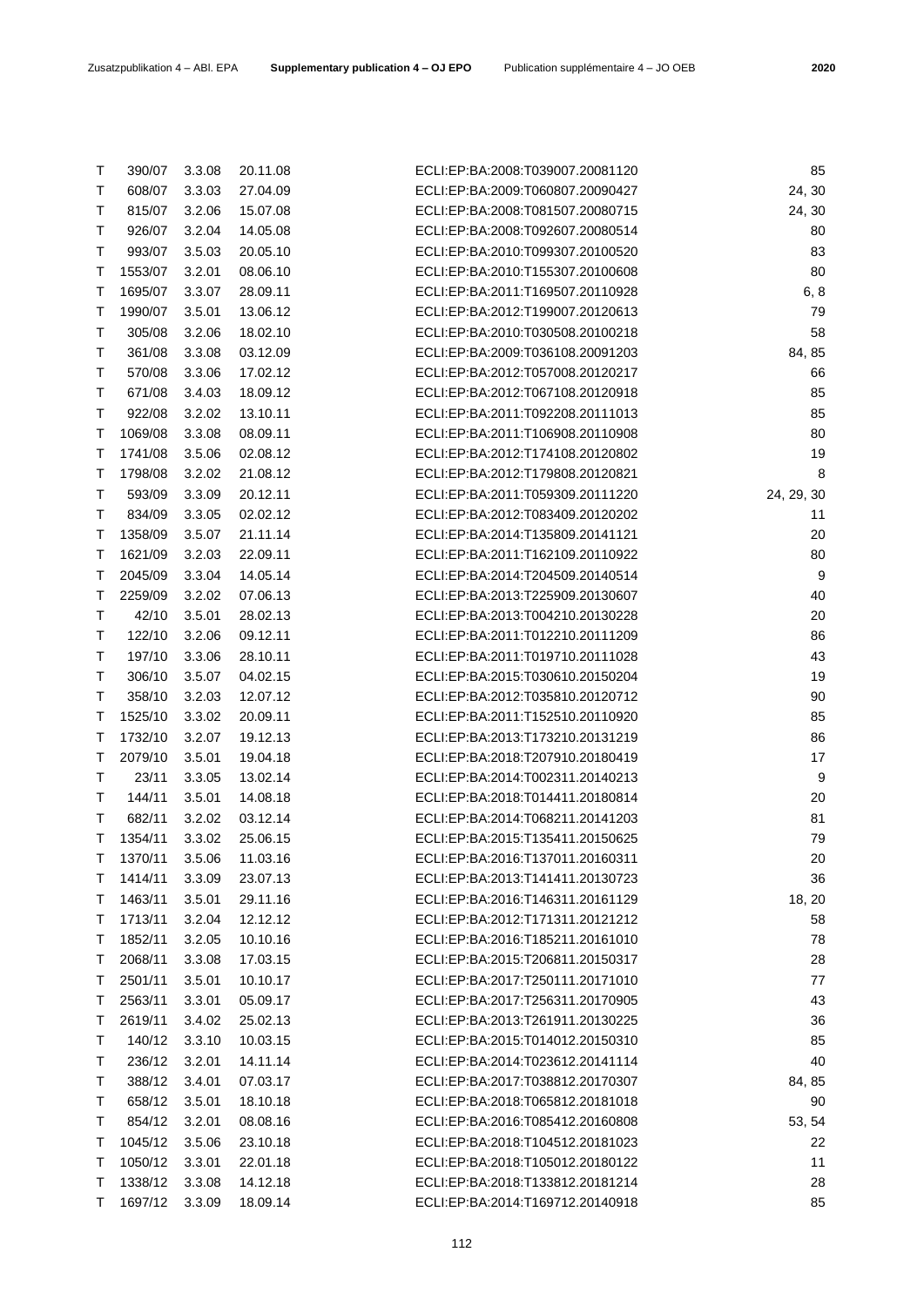| Т | 608/07  | 3.3.03 | 27.04.09 | ECLI:EP:BA:2009:T060807.20090427 | 24, 30       |
|---|---------|--------|----------|----------------------------------|--------------|
| т | 815/07  | 3.2.06 | 15.07.08 | ECLI:EP:BA:2008:T081507.20080715 | 24, 30       |
| Т | 926/07  | 3.2.04 | 14.05.08 | ECLI:EP:BA:2008:T092607.20080514 | 80           |
| Τ | 993/07  | 3.5.03 | 20.05.10 | ECLI:EP:BA:2010:T099307.20100520 | 83           |
| Т | 1553/07 | 3.2.01 | 08.06.10 | ECLI:EP:BA:2010:T155307.20100608 | 80           |
| Τ | 1695/07 | 3.3.07 | 28.09.11 | ECLI:EP:BA:2011:T169507.20110928 | 6, 8         |
| Τ | 1990/07 | 3.5.01 | 13.06.12 | ECLI:EP:BA:2012:T199007.20120613 | 79           |
| Τ | 305/08  | 3.2.06 | 18.02.10 | ECLI:EP:BA:2010:T030508.20100218 | 58           |
| т | 361/08  | 3.3.08 | 03.12.09 | ECLI:EP:BA:2009:T036108.20091203 | 84, 85       |
| Τ | 570/08  | 3.3.06 | 17.02.12 | ECLI:EP:BA:2012:T057008.20120217 | 66           |
| Т | 671/08  | 3.4.03 | 18.09.12 | ECLI:EP:BA:2012:T067108.20120918 | 85           |
| Τ | 922/08  | 3.2.02 | 13.10.11 | ECLI:EP:BA:2011:T092208.20111013 | 85           |
| Τ | 1069/08 | 3.3.08 | 08.09.11 | ECLI:EP:BA:2011:T106908.20110908 | 80           |
| Т | 1741/08 | 3.5.06 | 02.08.12 | ECLI:EP:BA:2012:T174108.20120802 | 19           |
| Τ | 1798/08 | 3.2.02 | 21.08.12 | ECLI:EP:BA:2012:T179808.20120821 | 8            |
| Τ | 593/09  | 3.3.09 | 20.12.11 | ECLI:EP:BA:2011:T059309.20111220 | 24, 29, 30   |
| Т | 834/09  | 3.3.05 | 02.02.12 | ECLI:EP:BA:2012:T083409.20120202 | 11           |
| Τ | 1358/09 | 3.5.07 | 21.11.14 | ECLI:EP:BA:2014:T135809.20141121 | 20           |
| Τ | 1621/09 | 3.2.03 | 22.09.11 | ECLI:EP:BA:2011:T162109.20110922 | 80           |
| Т | 2045/09 | 3.3.04 | 14.05.14 | ECLI:EP:BA:2014:T204509.20140514 | 9            |
| Т | 2259/09 | 3.2.02 | 07.06.13 | ECLI:EP:BA:2013:T225909.20130607 | 40           |
| Т | 42/10   | 3.5.01 | 28.02.13 | ECLI:EP:BA:2013:T004210.20130228 | 20           |
| Τ | 122/10  | 3.2.06 | 09.12.11 | ECLI:EP:BA:2011:T012210.20111209 | 86           |
| Τ | 197/10  | 3.3.06 | 28.10.11 | ECLI:EP:BA:2011:T019710.20111028 | 43           |
| Т | 306/10  | 3.5.07 | 04.02.15 | ECLI:EP:BA:2015:T030610.20150204 | 19           |
| Τ | 358/10  | 3.2.03 | 12.07.12 | ECLI:EP:BA:2012:T035810.20120712 | 90           |
| Т | 1525/10 | 3.3.02 | 20.09.11 | ECLI:EP:BA:2011:T152510.20110920 | 85           |
| Τ | 1732/10 | 3.2.07 | 19.12.13 | ECLI:EP:BA:2013:T173210.20131219 | 86           |
| Τ | 2079/10 | 3.5.01 | 19.04.18 | ECLI:EP:BA:2018:T207910.20180419 | 17           |
| Τ | 23/11   | 3.3.05 | 13.02.14 | ECLI:EP:BA:2014:T002311.20140213 | 9            |
| т | 144/11  | 3.5.01 | 14.08.18 | ECLI:EP:BA:2018:T014411.20180814 | 20           |
| Т | 682/11  | 3.2.02 | 03.12.14 | ECLI:EP:BA:2014:T068211.20141203 | 81           |
| Т | 1354/11 | 3.3.02 | 25.06.15 | ECLI:EP:BA:2015:T135411.20150625 | 79           |
| т | 1370/11 | 3.5.06 | 11.03.16 | ECLI:EP:BA:2016:T137011.20160311 | 20           |
| T | 1414/11 | 3.3.09 | 23.07.13 | ECLI:EP:BA:2013:T141411.20130723 | 36           |
| т | 1463/11 | 3.5.01 | 29.11.16 | ECLI:EP:BA:2016:T146311.20161129 | 18, 20       |
| Т | 1713/11 | 3.2.04 | 12.12.12 | ECLI:EP:BA:2012:T171311.20121212 | 58           |
| Т | 1852/11 | 3.2.05 | 10.10.16 | ECLI:EP:BA:2016:T185211.20161010 | 78           |
| Τ | 2068/11 | 3.3.08 | 17.03.15 | ECLI:EP:BA:2015:T206811.20150317 | 28           |
| Τ | 2501/11 | 3.5.01 | 10.10.17 | ECLI:EP:BA:2017:T250111.20171010 | 77           |
| Τ | 2563/11 | 3.3.01 | 05.09.17 | ECLI:EP:BA:2017:T256311.20170905 | 43           |
| Т | 2619/11 | 3.4.02 | 25.02.13 | ECLI:EP:BA:2013:T261911.20130225 | 36           |
| Т | 140/12  | 3.3.10 | 10.03.15 | ECLI:EP:BA:2015:T014012.20150310 | 85           |
| т | 236/12  | 3.2.01 | 14.11.14 | ECLI:EP:BA:2014:T023612.20141114 | 40           |
| т | 388/12  | 3.4.01 | 07.03.17 | ECLI:EP:BA:2017:T038812.20170307 |              |
| Τ | 658/12  | 3.5.01 | 18.10.18 | ECLI:EP:BA:2018:T065812.20181018 | 84, 85<br>90 |
| Τ | 854/12  | 3.2.01 | 08.08.16 | ECLI:EP:BA:2016:T085412.20160808 | 53, 54       |
| Т | 1045/12 | 3.5.06 | 23.10.18 | ECLI:EP:BA:2018:T104512.20181023 | 22           |
| Т | 1050/12 | 3.3.01 | 22.01.18 | ECLI:EP:BA:2018:T105012.20180122 | 11           |
| Т | 1338/12 | 3.3.08 | 14.12.18 | ECLI:EP:BA:2018:T133812.20181214 | 28           |
| Τ | 1697/12 | 3.3.09 | 18.09.14 | ECLI:EP:BA:2014:T169712.20140918 | 85           |
|   |         |        |          |                                  |              |

T 390/07 3.3.08 20.11.08 ECLI:EP:BA:2008:T039007.20081120 85 T 608/07 3.3.03 27.04.09 ECLI:EP:BA:2009:T060807.20090427 24, 30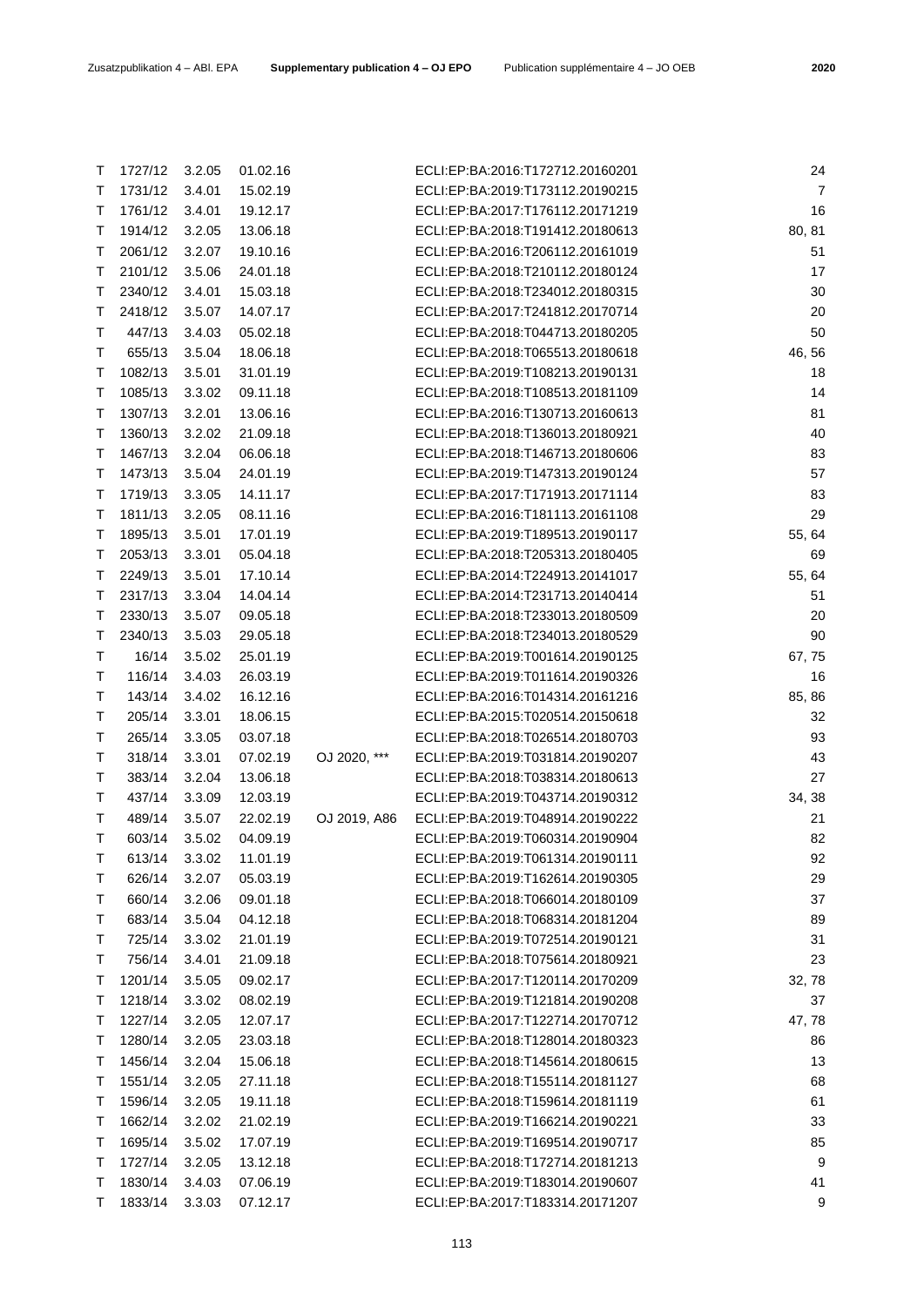| Τ | 1727/12 | 3.2.05 | 01.02.16 |              | ECLI:EP:BA:2016:T172712.20160201 | 24             |
|---|---------|--------|----------|--------------|----------------------------------|----------------|
| Т | 1731/12 | 3.4.01 | 15.02.19 |              | ECLI:EP:BA:2019:T173112.20190215 | $\overline{7}$ |
| Т | 1761/12 | 3.4.01 | 19.12.17 |              | ECLI:EP:BA:2017:T176112.20171219 | 16             |
| Т | 1914/12 | 3.2.05 | 13.06.18 |              | ECLI:EP:BA:2018:T191412.20180613 | 80, 81         |
| Τ | 2061/12 | 3.2.07 | 19.10.16 |              | ECLI:EP:BA:2016:T206112.20161019 | 51             |
| Т | 2101/12 | 3.5.06 | 24.01.18 |              | ECLI:EP:BA:2018:T210112.20180124 | 17             |
| Т | 2340/12 | 3.4.01 | 15.03.18 |              | ECLI:EP:BA:2018:T234012.20180315 | 30             |
| Т | 2418/12 | 3.5.07 | 14.07.17 |              | ECLI:EP:BA:2017:T241812.20170714 | 20             |
| Τ | 447/13  | 3.4.03 | 05.02.18 |              | ECLI:EP:BA:2018:T044713.20180205 | 50             |
| Τ | 655/13  | 3.5.04 | 18.06.18 |              | ECLI:EP:BA:2018:T065513.20180618 | 46, 56         |
| Τ | 1082/13 | 3.5.01 | 31.01.19 |              | ECLI:EP:BA:2019:T108213.20190131 | 18             |
| Т | 1085/13 | 3.3.02 | 09.11.18 |              | ECLI:EP:BA:2018:T108513.20181109 | 14             |
| Т | 1307/13 | 3.2.01 | 13.06.16 |              | ECLI:EP:BA:2016:T130713.20160613 | 81             |
| Т | 1360/13 | 3.2.02 | 21.09.18 |              | ECLI:EP:BA:2018:T136013.20180921 | 40             |
| Т | 1467/13 | 3.2.04 | 06.06.18 |              | ECLI:EP:BA:2018:T146713.20180606 | 83             |
| Т | 1473/13 | 3.5.04 | 24.01.19 |              | ECLI:EP:BA:2019:T147313.20190124 | 57             |
| Т | 1719/13 | 3.3.05 | 14.11.17 |              | ECLI:EP:BA:2017:T171913.20171114 | 83             |
| Т | 1811/13 | 3.2.05 | 08.11.16 |              | ECLI:EP:BA:2016:T181113.20161108 | 29             |
| Т | 1895/13 | 3.5.01 | 17.01.19 |              | ECLI:EP:BA:2019:T189513.20190117 | 55, 64         |
| Т | 2053/13 | 3.3.01 | 05.04.18 |              | ECLI:EP:BA:2018:T205313.20180405 | 69             |
| Т | 2249/13 | 3.5.01 | 17.10.14 |              | ECLI:EP:BA:2014:T224913.20141017 | 55, 64         |
| Т | 2317/13 | 3.3.04 | 14.04.14 |              | ECLI:EP:BA:2014:T231713.20140414 | 51             |
| Т | 2330/13 | 3.5.07 | 09.05.18 |              | ECLI:EP:BA:2018:T233013.20180509 | 20             |
| Т | 2340/13 | 3.5.03 | 29.05.18 |              | ECLI:EP:BA:2018:T234013.20180529 | 90             |
| Т | 16/14   | 3.5.02 | 25.01.19 |              | ECLI:EP:BA:2019:T001614.20190125 | 67, 75         |
| Т | 116/14  | 3.4.03 | 26.03.19 |              | ECLI:EP:BA:2019:T011614.20190326 | 16             |
| Τ | 143/14  | 3.4.02 | 16.12.16 |              | ECLI:EP:BA:2016:T014314.20161216 | 85, 86         |
| Т | 205/14  | 3.3.01 | 18.06.15 |              | ECLI:EP:BA:2015:T020514.20150618 | 32             |
| Т | 265/14  | 3.3.05 | 03.07.18 |              | ECLI:EP:BA:2018:T026514.20180703 | 93             |
| Т | 318/14  | 3.3.01 | 07.02.19 | OJ 2020, *** | ECLI:EP:BA:2019:T031814.20190207 | 43             |
| Т | 383/14  | 3.2.04 | 13.06.18 |              | ECLI:EP:BA:2018:T038314.20180613 | 27             |
| Т | 437/14  | 3.3.09 | 12.03.19 |              | ECLI:EP:BA:2019:T043714.20190312 | 34, 38         |
| Τ | 489/14  | 3.5.07 | 22.02.19 | OJ 2019, A86 | ECLI:EP:BA:2019:T048914.20190222 | 21             |
| T | 603/14  | 3.5.02 | 04.09.19 |              | ECLI:EP:BA:2019:T060314.20190904 | 82             |
| Τ | 613/14  | 3.3.02 | 11.01.19 |              | ECLI:EP:BA:2019:T061314.20190111 | 92             |
| Т | 626/14  | 3.2.07 | 05.03.19 |              | ECLI:EP:BA:2019:T162614.20190305 | 29             |
| Т | 660/14  | 3.2.06 | 09.01.18 |              | ECLI:EP:BA:2018:T066014.20180109 | 37             |
| Т | 683/14  | 3.5.04 | 04.12.18 |              | ECLI:EP:BA:2018:T068314.20181204 | 89             |
| Т | 725/14  | 3.3.02 | 21.01.19 |              | ECLI:EP:BA:2019:T072514.20190121 | 31             |
| Т | 756/14  | 3.4.01 | 21.09.18 |              | ECLI:EP:BA:2018:T075614.20180921 | 23             |
| Τ | 1201/14 | 3.5.05 | 09.02.17 |              | ECLI:EP:BA:2017:T120114.20170209 | 32, 78         |
| Т | 1218/14 | 3.3.02 | 08.02.19 |              | ECLI:EP:BA:2019:T121814.20190208 | 37             |
| Τ | 1227/14 | 3.2.05 | 12.07.17 |              | ECLI:EP:BA:2017:T122714.20170712 | 47, 78         |
| Τ | 1280/14 | 3.2.05 | 23.03.18 |              | ECLI:EP:BA:2018:T128014.20180323 | 86             |
| Τ | 1456/14 | 3.2.04 | 15.06.18 |              | ECLI:EP:BA:2018:T145614.20180615 | 13             |
| Т | 1551/14 | 3.2.05 | 27.11.18 |              | ECLI:EP:BA:2018:T155114.20181127 | 68             |
| Т | 1596/14 | 3.2.05 | 19.11.18 |              | ECLI:EP:BA:2018:T159614.20181119 | 61             |
| Т | 1662/14 | 3.2.02 | 21.02.19 |              | ECLI:EP:BA:2019:T166214.20190221 | 33             |
| Τ | 1695/14 | 3.5.02 | 17.07.19 |              | ECLI:EP:BA:2019:T169514.20190717 | 85             |
| Τ | 1727/14 | 3.2.05 | 13.12.18 |              | ECLI:EP:BA:2018:T172714.20181213 | 9              |
| Т | 1830/14 | 3.4.03 | 07.06.19 |              | ECLI:EP:BA:2019:T183014.20190607 | 41             |
| Т | 1833/14 | 3.3.03 | 07.12.17 |              | ECLI:EP:BA:2017:T183314.20171207 | 9              |
|   |         |        |          |              |                                  |                |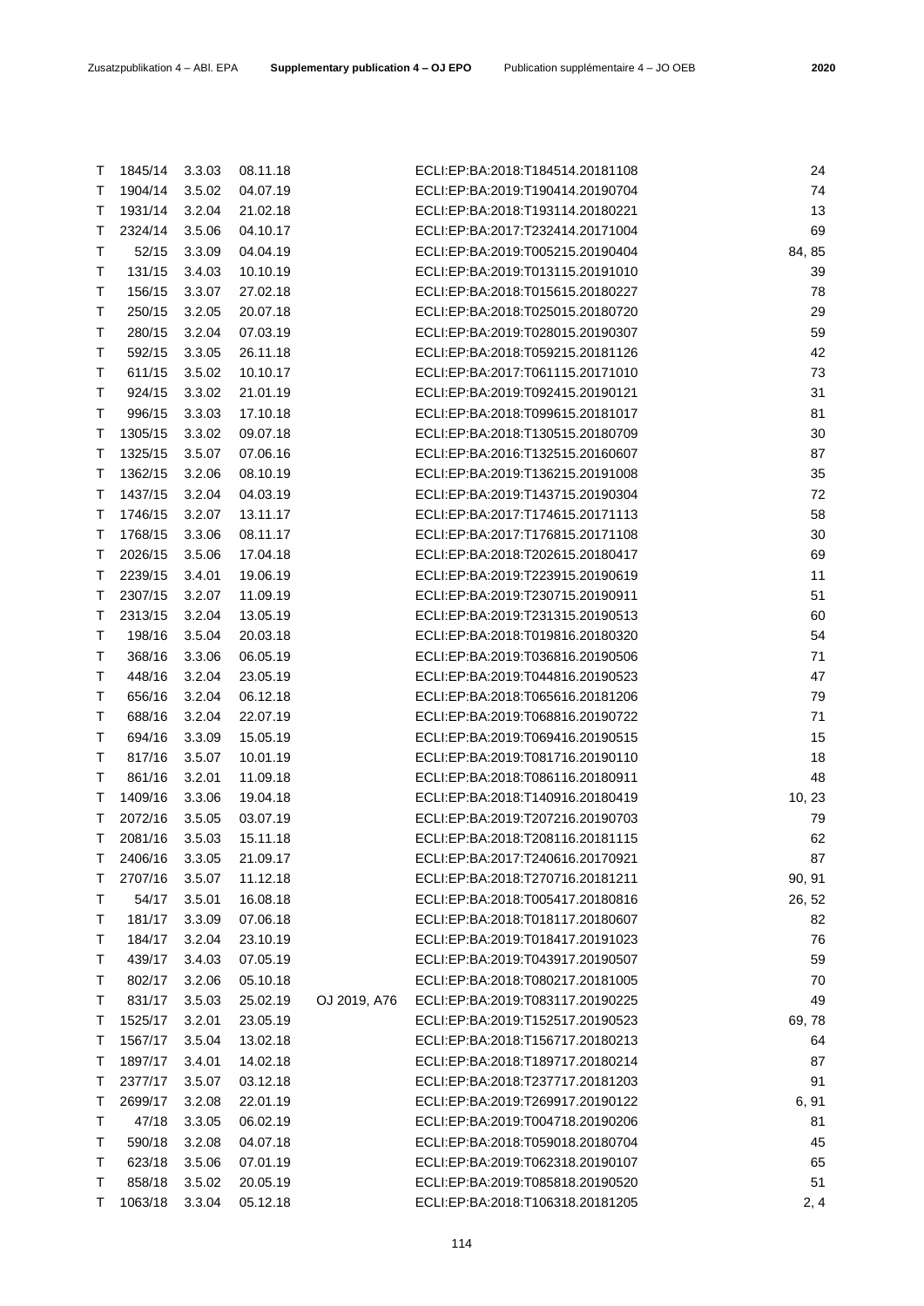| T | 52/15         | 3.3.09 | 04.04.19 |              | ECLI:EP:BA:2019:T005215.20190404 | 84, 85 |
|---|---------------|--------|----------|--------------|----------------------------------|--------|
| Τ | 131/15        | 3.4.03 | 10.10.19 |              | ECLI:EP:BA:2019:T013115.20191010 | 39     |
| Τ | 156/15        | 3.3.07 | 27.02.18 |              | ECLI:EP:BA:2018:T015615.20180227 | 78     |
| Т | 250/15        | 3.2.05 | 20.07.18 |              | ECLI:EP:BA:2018:T025015.20180720 | 29     |
| Τ | 280/15        | 3.2.04 | 07.03.19 |              | ECLI:EP:BA:2019:T028015.20190307 | 59     |
| Τ | 592/15        | 3.3.05 | 26.11.18 |              | ECLI:EP:BA:2018:T059215.20181126 | 42     |
| Т | 611/15        | 3.5.02 | 10.10.17 |              | ECLI:EP:BA:2017:T061115.20171010 | 73     |
| Τ | 924/15        | 3.3.02 | 21.01.19 |              | ECLI:EP:BA:2019:T092415.20190121 | 31     |
| Τ | 996/15        | 3.3.03 | 17.10.18 |              | ECLI:EP:BA:2018:T099615.20181017 | 81     |
| т | 1305/15       | 3.3.02 | 09.07.18 |              | ECLI:EP:BA:2018:T130515.20180709 | 30     |
| Τ | 1325/15       | 3.5.07 | 07.06.16 |              | ECLI:EP:BA:2016:T132515.20160607 | 87     |
| Τ | 1362/15       | 3.2.06 | 08.10.19 |              | ECLI:EP:BA:2019:T136215.20191008 | 35     |
| Τ | 1437/15       | 3.2.04 | 04.03.19 |              | ECLI:EP:BA:2019:T143715.20190304 | 72     |
| Τ | 1746/15       | 3.2.07 | 13.11.17 |              | ECLI:EP:BA:2017:T174615.20171113 | 58     |
| Τ | 1768/15       | 3.3.06 | 08.11.17 |              | ECLI:EP:BA:2017:T176815.20171108 | 30     |
| Τ | 2026/15       | 3.5.06 | 17.04.18 |              | ECLI:EP:BA:2018:T202615.20180417 | 69     |
| Τ | 2239/15       | 3.4.01 | 19.06.19 |              | ECLI:EP:BA:2019:T223915.20190619 | 11     |
| Τ | 2307/15       | 3.2.07 | 11.09.19 |              | ECLI:EP:BA:2019:T230715.20190911 | 51     |
| Τ | 2313/15       | 3.2.04 | 13.05.19 |              | ECLI:EP:BA:2019:T231315.20190513 | 60     |
| Τ | 198/16        | 3.5.04 | 20.03.18 |              | ECLI:EP:BA:2018:T019816.20180320 | 54     |
| Τ | 368/16        | 3.3.06 | 06.05.19 |              | ECLI:EP:BA:2019:T036816.20190506 | 71     |
| Τ | 448/16        | 3.2.04 | 23.05.19 |              | ECLI:EP:BA:2019:T044816.20190523 | 47     |
| Τ | 656/16        | 3.2.04 | 06.12.18 |              | ECLI:EP:BA:2018:T065616.20181206 | 79     |
| Τ | 688/16        |        |          |              | ECLI:EP:BA:2019:T068816.20190722 | 71     |
|   |               | 3.2.04 | 22.07.19 |              | ECLI:EP:BA:2019:T069416.20190515 |        |
| Τ | 694/16        | 3.3.09 | 15.05.19 |              |                                  | 15     |
| Τ | 817/16        | 3.5.07 | 10.01.19 |              | ECLI:EP:BA:2019:T081716.20190110 | 18     |
| Τ | 861/16        | 3.2.01 | 11.09.18 |              | ECLI:EP:BA:2018:T086116.20180911 | 48     |
| Τ | 1409/16       | 3.3.06 | 19.04.18 |              | ECLI:EP:BA:2018:T140916.20180419 | 10, 23 |
| Τ | 2072/16       | 3.5.05 | 03.07.19 |              | ECLI:EP:BA:2019:T207216.20190703 | 79     |
| Τ | 2081/16       | 3.5.03 | 15.11.18 |              | ECLI:EP:BA:2018:T208116.20181115 | 62     |
| Τ | 2406/16       | 3.3.05 | 21.09.17 |              | ECLI:EP:BA:2017:T240616.20170921 | 87     |
| Τ | 2707/16       | 3.5.07 | 11.12.18 |              | ECLI:EP:BA:2018:T270716.20181211 | 90, 91 |
| T | 54/17         | 3.5.01 | 16.08.18 |              | ECLI:EP:BA:2018:T005417.20180816 | 26, 52 |
| Τ | 181/17        | 3.3.09 | 07.06.18 |              | ECLI:EP:BA:2018:T018117.20180607 | 82     |
| Τ | 184/17 3.2.04 |        | 23.10.19 |              | ECLI:EP:BA:2019:T018417.20191023 | 76     |
| т | 439/17        | 3.4.03 | 07.05.19 |              | ECLI:EP:BA:2019:T043917.20190507 | 59     |
| Τ | 802/17        | 3.2.06 | 05.10.18 |              | ECLI:EP:BA:2018:T080217.20181005 | 70     |
| Τ | 831/17        | 3.5.03 | 25.02.19 | OJ 2019, A76 | ECLI:EP:BA:2019:T083117.20190225 | 49     |
| Т | 1525/17       | 3.2.01 | 23.05.19 |              | ECLI:EP:BA:2019:T152517.20190523 | 69,78  |
| Τ | 1567/17       | 3.5.04 | 13.02.18 |              | ECLI:EP:BA:2018:T156717.20180213 | 64     |
| Τ | 1897/17       | 3.4.01 | 14.02.18 |              | ECLI:EP:BA:2018:T189717.20180214 | 87     |
| Τ | 2377/17       | 3.5.07 | 03.12.18 |              | ECLI:EP:BA:2018:T237717.20181203 | 91     |
| T | 2699/17       | 3.2.08 | 22.01.19 |              | ECLI:EP:BA:2019:T269917.20190122 | 6, 91  |
| Τ | 47/18         | 3.3.05 | 06.02.19 |              | ECLI:EP:BA:2019:T004718.20190206 | 81     |
| Т | 590/18        | 3.2.08 | 04.07.18 |              | ECLI:EP:BA:2018:T059018.20180704 | 45     |
| Τ | 623/18        | 3.5.06 | 07.01.19 |              | ECLI:EP:BA:2019:T062318.20190107 | 65     |
| Т | 858/18        | 3.5.02 | 20.05.19 |              | ECLI:EP:BA:2019:T085818.20190520 | 51     |
| т | 1063/18       | 3.3.04 | 05.12.18 |              | ECLI:EP:BA:2018:T106318.20181205 | 2, 4   |

T 1845/14 3.3.03 08.11.18 ECLI:EP:BA:2018:T184514.20181108 24 T 1904/14 3.5.02 04.07.19 ECLI:EP:BA:2019:T190414.20190704 74 T 1931/14 3.2.04 21.02.18 ECLI:EP:BA:2018:T193114.20180221 13 T 2324/14 3.5.06 04.10.17 ECLI:EP:BA:2017:T232414.20171004 69